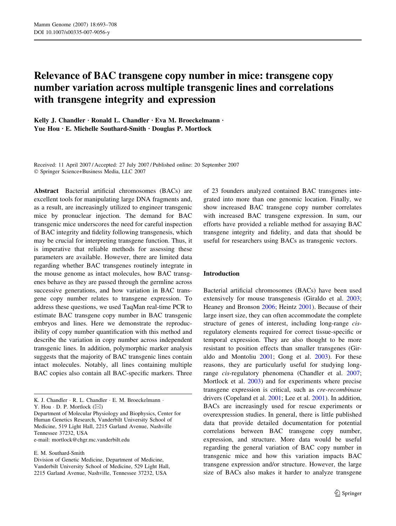# Relevance of BAC transgene copy number in mice: transgene copy number variation across multiple transgenic lines and correlations with transgene integrity and expression

Kelly J. Chandler · Ronald L. Chandler · Eva M. Broeckelmann · Yue Hou  $\cdot$  E. Michelle Southard-Smith  $\cdot$  Douglas P. Mortlock

Received: 11 April 2007 / Accepted: 27 July 2007 / Published online: 20 September 2007 Springer Science+Business Media, LLC 2007

Abstract Bacterial artificial chromosomes (BACs) are excellent tools for manipulating large DNA fragments and, as a result, are increasingly utilized to engineer transgenic mice by pronuclear injection. The demand for BAC transgenic mice underscores the need for careful inspection of BAC integrity and fidelity following transgenesis, which may be crucial for interpreting transgene function. Thus, it is imperative that reliable methods for assessing these parameters are available. However, there are limited data regarding whether BAC transgenes routinely integrate in the mouse genome as intact molecules, how BAC transgenes behave as they are passed through the germline across successive generations, and how variation in BAC transgene copy number relates to transgene expression. To address these questions, we used TaqMan real-time PCR to estimate BAC transgene copy number in BAC transgenic embryos and lines. Here we demonstrate the reproducibility of copy number quantification with this method and describe the variation in copy number across independent transgenic lines. In addition, polymorphic marker analysis suggests that the majority of BAC transgenic lines contain intact molecules. Notably, all lines containing multiple BAC copies also contain all BAC-specific markers. Three

e-mail: mortlock@chgr.mc.vanderbilt.edu

E. M. Southard-Smith

of 23 founders analyzed contained BAC transgenes integrated into more than one genomic location. Finally, we show increased BAC transgene copy number correlates with increased BAC transgene expression. In sum, our efforts have provided a reliable method for assaying BAC transgene integrity and fidelity, and data that should be useful for researchers using BACs as transgenic vectors.

### Introduction

Bacterial artificial chromosomes (BACs) have been used extensively for mouse transgenesis (Giraldo et al. [2003](#page-14-0); Heaney and Bronson [2006;](#page-15-0) Heintz [2001](#page-15-0)). Because of their large insert size, they can often accommodate the complete structure of genes of interest, including long-range cisregulatory elements required for correct tissue-specific or temporal expression. They are also thought to be more resistant to position effects than smaller transgenes (Giraldo and Montoliu [2001;](#page-14-0) Gong et al. [2003\)](#page-14-0). For these reasons, they are particularly useful for studying longrange cis-regulatory phenomena (Chandler et al. [2007](#page-14-0); Mortlock et al. [2003\)](#page-15-0) and for experiments where precise transgene expression is critical, such as cre-recombinase drivers (Copeland et al. [2001](#page-14-0); Lee et al. [2001](#page-15-0)). In addition, BACs are increasingly used for rescue experiments or overexpression studies. In general, there is little published data that provide detailed documentation for potential correlations between BAC transgene copy number, expression, and structure. More data would be useful regarding the general variation of BAC copy number in transgenic mice and how this variation impacts BAC transgene expression and/or structure. However, the large size of BACs also makes it harder to analyze transgene

K. J. Chandler · R. L. Chandler · E. M. Broeckelmann · Y. Hou  $\cdot$  D. P. Mortlock  $(\boxtimes)$ 

Department of Molecular Physiology and Biophysics, Center for Human Genetics Research, Vanderbilt University School of Medicine, 519 Light Hall, 2215 Garland Avenue, Nashville Tennessee 37232, USA

Division of Genetic Medicine, Department of Medicine, Vanderbilt University School of Medicine, 529 Light Hall, 2215 Garland Avenue, Nashville, Tennessee 37232, USA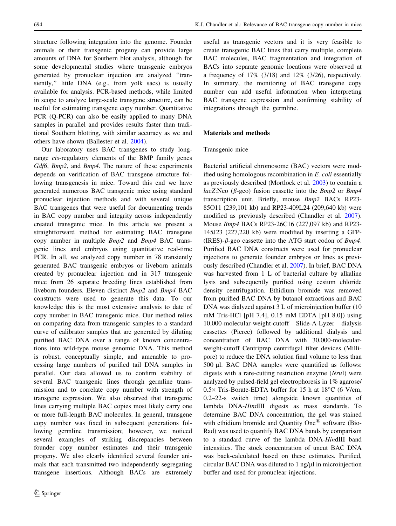structure following integration into the genome. Founder animals or their transgenic progeny can provide large amounts of DNA for Southern blot analysis, although for some developmental studies where transgenic embryos generated by pronuclear injection are analyzed ''transiently,'' little DNA (e.g., from yolk sacs) is usually available for analysis. PCR-based methods, while limited in scope to analyze large-scale transgene structure, can be useful for estimating transgene copy number. Quantitative

PCR (Q-PCR) can also be easily applied to many DNA samples in parallel and provides results faster than traditional Southern blotting, with similar accuracy as we and others have shown (Ballester et al. [2004](#page-14-0)). Our laboratory uses BAC transgenes to study long-

range cis-regulatory elements of the BMP family genes Gdf6, Bmp2, and Bmp4. The nature of these experiments depends on verification of BAC transgene structure following transgenesis in mice. Toward this end we have generated numerous BAC transgenic mice using standard pronuclear injection methods and with several unique BAC transgenes that were useful for documenting trends in BAC copy number and integrity across independently created transgenic mice. In this article we present a straightforward method for estimating BAC transgene copy number in multiple Bmp2 and Bmp4 BAC transgenic lines and embryos using quantitative real-time PCR. In all, we analyzed copy number in 78 transiently generated BAC transgenic embryos or liveborn animals created by pronuclear injection and in 317 transgenic mice from 26 separate breeding lines established from liveborn founders. Eleven distinct Bmp2 and Bmp4 BAC constructs were used to generate this data. To our knowledge this is the most extensive analysis to date of copy number in BAC transgenic mice. Our method relies on comparing data from transgenic samples to a standard curve of calibrator samples that are generated by diluting purified BAC DNA over a range of known concentrations into wild-type mouse genomic DNA. This method is robust, conceptually simple, and amenable to processing large numbers of purified tail DNA samples in parallel. Our data allowed us to confirm stability of several BAC transgenic lines through germline transmission and to correlate copy number with strength of transgene expression. We also observed that transgenic lines carrying multiple BAC copies most likely carry one or more full-length BAC molecules. In general, transgene copy number was fixed in subsequent generations following germline transmission; however, we noticed several examples of striking discrepancies between founder copy number estimates and their transgenic progeny. We also clearly identified several founder animals that each transmitted two independently segregating transgene insertions. Although BACs are extremely

useful as transgenic vectors and it is very feasible to create transgenic BAC lines that carry multiple, complete BAC molecules, BAC fragmentation and integration of BACs into separate genomic locations were observed at a frequency of  $17\%$  (3/18) and  $12\%$  (3/26), respectively. In summary, the monitoring of BAC transgene copy number can add useful information when interpreting BAC transgene expression and confirming stability of integrations through the germline.

# Materials and methods

# Transgenic mice

Bacterial artificial chromosome (BAC) vectors were modified using homologous recombination in E. coli essentially as previously described (Mortlock et al. [2003](#page-15-0)) to contain a lacZ:Neo ( $\beta$ -geo) fusion cassette into the *Bmp2* or *Bmp4* transcription unit. Briefly, mouse Bmp2 BACs RP23- 85O11 (239,101 kb) and RP23-409L24 (209,640 kb) were modified as previously described (Chandler et al. [2007](#page-14-0)). Mouse Bmp4 BACs RP23-26C16 (227,097 kb) and RP23- 145J23 (227,220 kb) were modified by inserting a GFP- (IRES)- $\beta$ -geo cassette into the ATG start codon of *Bmp4*. Purified BAC DNA constructs were used for pronuclear injections to generate founder embryos or lines as previously described (Chandler et al. [2007](#page-14-0)). In brief, BAC DNA was harvested from 1 L of bacterial culture by alkaline lysis and subsequently purified using cesium chloride density centrifugation. Ethidium bromide was removed from purified BAC DNA by butanol extractions and BAC DNA was dialyzed against 3 L of microinjection buffer (10 mM Tris-HCl [pH 7.4], 0.15 mM EDTA [pH 8.0]) using 10,000-molecular-weight-cutoff Slide-A-Lyzer dialysis cassettes (Pierce) followed by additional dialysis and concentration of BAC DNA with 30,000-molecularweight-cutoff Centriprep centrifugal filter devices (Millipore) to reduce the DNA solution final volume to less than  $500$   $\mu$ l. BAC DNA samples were quantified as follows: digests with a rare-cutting restriction enzyme (NruI) were analyzed by pulsed-field gel electrophoresis in 1% agarose/  $0.5 \times$  Tris-Borate-EDTA buffer for 15 h at 18°C (6 V/cm, 0.2–22-s switch time) alongside known quantities of lambda DNA-HindIII digests as mass standards. To determine BAC DNA concentration, the gel was stained with ethidium bromide and Quantity One<sup> $\&$ </sup> software (Bio-Rad) was used to quantify BAC DNA bands by comparison to a standard curve of the lambda DNA-HindIII band intensities. The stock concentration of uncut BAC DNA was back-calculated based on these estimates. Purified, circular BAC DNA was diluted to  $1$  ng/ $\mu$ l in microinjection buffer and used for pronuclear injections.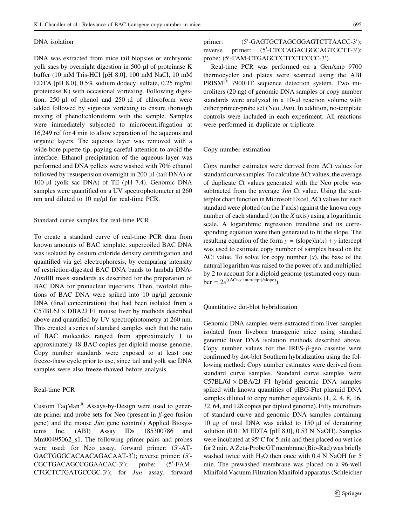### DNA isolation

DNA was extracted from mice tail biopsies or embryonic yolk sacs by overnight digestion in 500 µl of proteinase K buffer (10 mM Tris-HCl [pH 8.0], 100 mM NaCl, 10 mM EDTA [pH 8.0], 0.5% sodium dodecyl sulfate, 0.25 mg/ml proteinase K) with occasional vortexing. Following digestion,  $250 \mu l$  of phenol and  $250 \mu l$  of chloroform were added followed by vigorous vortexing to ensure thorough mixing of phenol:chloroform with the sample. Samples were immediately subjected to microcentrifugation at 16,249 rcf for 4 min to allow separation of the aqueous and organic layers. The aqueous layer was removed with a wide-bore pipette tip, paying careful attention to avoid the interface. Ethanol precipitation of the aqueous layer was performed and DNA pellets were washed with 70% ethanol followed by resuspension overnight in 200 µl (tail DNA) or 100 ll (yolk sac DNA) of TE (pH 7.4). Genomic DNA samples were quantified on a UV spectrophotometer at 260 nm and diluted to  $10$  ng/ $\mu$ l for real-time PCR.

# Standard curve samples for real-time PCR

To create a standard curve of real-time PCR data from known amounts of BAC template, supercoiled BAC DNA was isolated by cesium chloride density centrifugation and quantified via gel electrophoresis, by comparing intensity of restriction-digested BAC DNA bands to lambda DNA-HindIII mass standards as described for the preparation of BAC DNA for pronuclear injections. Then, twofold dilutions of BAC DNA were spiked into  $10$  ng/ $\mu$ l genomic DNA (final concentration) that had been isolated from a  $C57BL6J \times DBA2J$  F1 mouse liver by methods described above and quantified by UV spectrophotometry at 260 nm. This created a series of standard samples such that the ratio of BAC molecules ranged from approximately 1 to approximately 48 BAC copies per diploid mouse genome. Copy number standards were exposed to at least one freeze-thaw cycle prior to use, since tail and yolk sac DNA samples were also freeze-thawed before analysis.

# Real-time PCR

Custom TaqMan $^{(8)}$  Assays-by-Design were used to generate primer and probe sets for Neo (present in  $\beta$ -geo fusion gene) and the mouse Jun gene (control) Applied Biosystems Inc. (ABI) Assay IDs 185300786 and Mm00495062\_s1. The following primer pairs and probes were used: for Neo assay, forward primer: (5'-AT-GACTGGGCACAACAGACAAT-3'); reverse primer: (5'-CGCTGACAGCCGGAACAC-3'); probe:  $(5'$ -FAM-CTGCTCTGATGCCGC-3'); for Jun assay, forward

#### primer: -GAGTGCTAGCGGAGTCTTAACC-3'); reverse primer: -CTCCAGACGGCAGTGCTT-3'); probe: (5'-FAM-CTGAGCCCTCCTCCCC-3').

Real-time PCR was performed on a GenAmp 9700 thermocycler and plates were scanned using the ABI  $PRISM^{\textcircled{\tiny{R}}}$  7900HT sequence detection system. Two microliters (20 ng) of genomic DNA samples or copy number standards were analyzed in a 10-µl reaction volume with either primer-probe set (Neo, Jun). In addition, no-template controls were included in each experiment. All reactions were performed in duplicate or triplicate.

### Copy number estimation

Copy number estimates were derived from  $\Delta$ Ct values for standard curve samples. To calculate  $\Delta$ Ct values, the average of duplicate Ct values generated with the Neo probe was subtracted from the average Jun Ct value. Using the scatterplot chart function in Microsoft Excel,  $\Delta$ Ct values for each standard were plotted (on the Y axis) against the known copy number of each standard (on the  $X$  axis) using a logarithmic scale. A logarithmic regression trendline and its corresponding equation were then generated to fit the slope. The resulting equation of the form  $y = (slope)ln(x) + y$  intercept was used to estimate copy number of samples based on the  $\Delta$ Ct value. To solve for copy number  $(x)$ , the base of the natural logarithm was raised to the power of  $x$  and multiplied by 2 to account for a diploid genome (estimated copy num $ber = 2e^{((\Delta Ct - y \text{ intercept})/slope)})$ .

Quantitative dot-blot hybridization

Genomic DNA samples were extracted from liver samples isolated from liveborn transgenic mice using standard genomic liver DNA isolation methods described above. Copy number values for the IRES- $\beta$ -geo cassette were confirmed by dot-blot Southern hybridization using the following method: Copy number estimates were derived from standard curve samples. Standard curve samples were  $C57BL/6J \times DBA/2J$  F1 hybrid genomic DNA samples spiked with known quantities of pIBG-Ftet plasmid DNA samples diluted to copy number equivalents (1, 2, 4, 8, 16, 32, 64, and 128 copies per diploid genome). Fifty microliters of standard curve and genomic DNA samples containing 10  $\mu$ g of total DNA was added to 150  $\mu$ l of denaturing solution (0.01 M EDTA [pH 8.0], 0.53 N NaOH). Samples were incubated at 95°C for 5 min and then placed on wet ice for 2 min. A Zeta-Probe GT membrane (Bio-Rad) was briefly washed twice with  $H<sub>2</sub>O$  then once with 0.4 N NaOH for 5 min. The prewashed membrane was placed on a 96-well Minifold Vacuum Filtration Manifold apparatus (Schleicher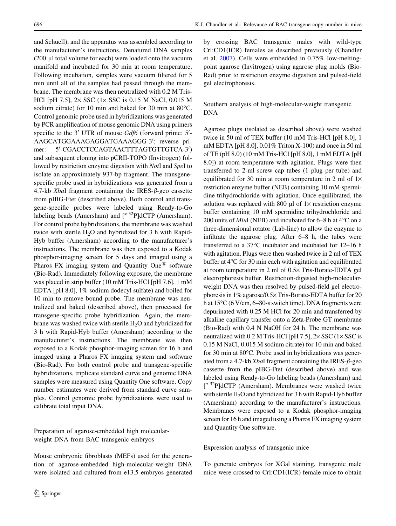and Schuell), and the apparatus was assembled according to the manufacturer's instructions. Denatured DNA samples  $(200 \mu)$  total volume for each) were loaded onto the vacuum manifold and incubated for 30 min at room temperature. Following incubation, samples were vacuum filtered for 5 min until all of the samples had passed through the membrane. The membrane was then neutralized with 0.2 M Tris-HCl [pH 7.5],  $2 \times$  SSC ( $1 \times$  SSC is 0.15 M NaCl, 0.015 M sodium citrate) for 10 min and baked for 30 min at  $80^{\circ}$ C. Control genomic probe used in hybridizations was generated by PCR amplification of mouse genomic DNA using primers specific to the 3' UTR of mouse Gdf6 (forward prime: 5'-AAGCATGGAAAGAGGATGAAAGGG-3'; reverse primer: -CGACCTCCAGTAACTTTAGTGTTGTCA-3') and subsequent cloning into pCRII-TOPO (Invitrogen) followed by restriction enzyme digestion with NotI and SpeI to isolate an approximately 937-bp fragment. The transgenespecific probe used in hybridizations was generated from a 4.7-kb XbaI fragment containing the IRES- $\beta$ -geo cassette from pIBG-Ftet (described above). Both control and transgene-specific probes were labeled using Ready-to-Go labeling beads (Amersham) and  $\int^{\alpha-32} P \cdot d\cdot d\cdot$  (Amersham). For control probe hybridizations, the membrane was washed twice with sterile  $H_2O$  and hybridized for 3 h with Rapid-Hyb buffer (Amersham) according to the manufacturer's instructions. The membrane was then exposed to a Kodak phosphor-imaging screen for 5 days and imaged using a Pharos FX imaging system and Quantity One<sup>®</sup> software (Bio-Rad). Immediately following exposure, the membrane was placed in strip buffer (10 mM Tris-HCl [pH 7.6], 1 mM EDTA [pH 8.0], 1% sodium dodecyl sulfate) and boiled for 10 min to remove bound probe. The membrane was neutralized and baked (described above), then processed for transgene-specific probe hybridization. Again, the membrane was washed twice with sterile  $H_2O$  and hybridized for 3 h with Rapid-Hyb buffer (Amersham) according to the manufacturer's instructions. The membrane was then exposed to a Kodak phosphor-imaging screen for 16 h and imaged using a Pharos FX imaging system and software (Bio-Rad). For both control probe and transgene-specific hybridizations, triplicate standard curve and genomic DNA samples were measured using Quantity One software. Copy number estimates were derived from standard curve samples. Control genomic probe hybridizations were used to calibrate total input DNA.

Preparation of agarose-embedded high molecularweight DNA from BAC transgenic embryos

Mouse embryonic fibroblasts (MEFs) used for the generation of agarose-embedded high-molecular-weight DNA were isolated and cultured from e13.5 embryos generated by crossing BAC transgenic males with wild-type Crl:CD1(ICR) females as described previously (Chandler et al. [2007](#page-14-0)). Cells were embedded in 0.75% low-meltingpoint agarose (Invitrogen) using agarose plug molds (Bio-Rad) prior to restriction enzyme digestion and pulsed-field gel electrophoresis.

Southern analysis of high-molecular-weight transgenic DNA

Agarose plugs (isolated as described above) were washed twice in 50 ml of TEX buffer (10 mM Tris-HCl [pH 8.0], 1 mM EDTA [pH 8.0], 0.01% Triton X-100) and once in 50 ml of TE (pH 8.0) (10 mM Tris-HCl [pH 8.0], 1 mM EDTA [pH 8.0]) at room temperature with agitation. Plugs were then transferred to 2-ml screw cap tubes (1 plug per tube) and equilibrated for 30 min at room temperature in 2 ml of  $1\times$ restriction enzyme buffer (NEB) containing 10 mM spermidine trihydrochloride with agitation. Once equilibrated, the solution was replaced with 800  $\mu$ l of 1 $\times$  restriction enzyme buffer containing 10 mM spermidine trihydrochloride and 200 units of *MluI* (NEB) and incubated for 6–8 h at  $4^{\circ}$ C on a three-dimensional rotator (Lab-line) to allow the enzyme to infiltrate the agarose plug. After 6–8 h, the tubes were transferred to a  $37^{\circ}$ C incubator and incubated for 12–16 h with agitation. Plugs were then washed twice in 2 ml of TEX buffer at 4°C for 30 min each with agitation and equilibrated at room temperature in 2 ml of  $0.5 \times$  Tris-Borate-EDTA gel electrophoresis buffer. Restriction-digested high-molecularweight DNA was then resolved by pulsed-field gel electrophoresis in 1% agarose/0.5× Tris-Borate-EDTA buffer for 20 h at 15°C (6 V/cm, 6–80-s switch time). DNA fragments were depurinated with 0.25 M HCl for 20 min and transferred by alkaline capillary transfer onto a Zeta-Probe GT membrane (Bio-Rad) with 0.4 N NaOH for 24 h. The membrane was neutralized with  $0.2$  M Tris-HCl [pH  $7.5$ ],  $2 \times$  SSC ( $1 \times$  SSC is 0.15 M NaCl, 0.015 M sodium citrate) for 10 min and baked for 30 min at 80°C. Probe used in hybridizations was generated from a 4.7-kb XbaI fragment containing the IRES- $\beta$ -geo cassette from the pIBG-Ftet (described above) and was labeled using Ready-to-Go labeling beads (Amersham) and [<sup> $\alpha$ -32</sup>P]dCTP (Amersham). Membranes were washed twice with sterile  $H_2O$  and hybridized for 3 h with Rapid-Hyb buffer (Amersham) according to the manufacturer's instructions. Membranes were exposed to a Kodak phosphor-imaging screen for 16 h and imaged using a Pharos FX imaging system and Quantity One software.

Expression analysis of transgenic mice

To generate embryos for XGal staining, transgenic male mice were crossed to Crl:CD1(ICR) female mice to obtain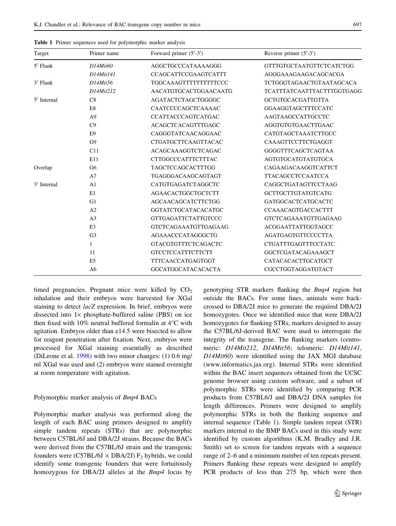| Target      | Primer name     | Forward primer $(5'$ -3')   | Reverse primer $(5'$ -3')         |  |
|-------------|-----------------|-----------------------------|-----------------------------------|--|
| $5'$ Flank  | D14Mit60        | AGGCTGCCCATAAAAGGG          | <b>GTTTGTGCTAATGTTCTCATCTGG</b>   |  |
|             | $D14M$ it $141$ | <b>CCAGCATTCCGAAGTCATTT</b> | AGGGAAAGAAGACAGCACGA              |  |
| $3'$ Flank  | D14Mit56        | TGGCAAAGTTTTTTTTTTCCC       | <b>TCTGGGTAGAACTGTAATAGCACA</b>   |  |
|             | D14Mit212       | AACATGTGCACTGGAACAATG       | <b>TCATTTATCAATTTACTTTGGTGAGG</b> |  |
| 5' Internal | C8              | <b>AGATACTCTAGCTGGGGC</b>   | <b>GCTGTGCACGATTGTTA</b>          |  |
|             | E8              | CAATCCCCAGCTCAAAAC          | <b>GGAAGGTAGCTTTCCATC</b>         |  |
|             | A <sup>9</sup>  | CCATTACCCAGTCATGAC          | AAGTAAGCCATTGCCTC                 |  |
|             | C9              | <b>ACAGCTCACAGTTTGAGC</b>   | <b>AGGTGTGTGAACTTGAAC</b>         |  |
|             | E <sub>9</sub>  | CAGGGTATCAACAGGAAC          | CATGTAGCTAAATCTTGCC               |  |
|             | G <sub>9</sub>  | <b>CTGATGCTTCAAGTTACAC</b>  | CAAAGTTCCTTCTGAGGT                |  |
|             | C11             | <b>ACAGCAAAGGTCTCAGAC</b>   | <b>GGGGTTTCAGCTCAGTAA</b>         |  |
|             | E11             | CTTGGCCCATTTCTTTAC          | <b>AGTGTGCATGTATGTGCA</b>         |  |
| Overlap     | G <sub>6</sub>  | <b>TAGCTCCAGCACTTTGG</b>    | CAGAAGACAAGGTCATTCT               |  |
|             | A7              | TGAGGGACAAGCAGTAGT          | <b>TTACAGCCTCCAATCCA</b>          |  |
| 3' Internal | A <sub>1</sub>  | CATGTGAGATCTAGGCTC          | CAGGCTGATAGTTCCTAAG               |  |
|             | E1              | <b>AGAACACTGGCTGCTCTT</b>   | <b>GCTTGCTTGTATGTCATG</b>         |  |
|             | G1              | AGCAACAGCATCTTCTGG          | <b>GATGGCACTCATGCACTC</b>         |  |
|             | A <sub>2</sub>  | <b>GGTATCTGCATACACATGC</b>  | <b>CCAAACAGTGACCACTTT</b>         |  |
|             | A <sub>3</sub>  | <b>GTTGAGATTCTATTGTCCC</b>  | <b>GTCTCAGAAATGTTGAGAAG</b>       |  |
|             | E <sub>3</sub>  | GTCTCAGAAATGTTGAGAAG        | ACGGAATTATTGGTAGCC                |  |
|             | G <sub>3</sub>  | AGAAACCCATAGGGCTG           | <b>AGATGAGTGTTCCCCTTA</b>         |  |
|             | $\mathbf{1}$    | <b>GTACGTGTTTCTCAGACTC</b>  | CTGATTTGAGTTTCCTATC               |  |
|             | 11              | <b>GTCCTCCATTTCTTCTT</b>    | <b>GGCTCGATACAGAAAGCT</b>         |  |
|             | E <sub>5</sub>  | TTTCAACCATGAGTGGT           | CATACACACTTGCATGCT                |  |
|             | A6              | <b>GGCATGGCATACACACTA</b>   | CGCCTGGTAGGATGTACT                |  |

Table 1 Primer sequences used for polymorphic marker analysis

timed pregnancies. Pregnant mice were killed by  $CO<sub>2</sub>$ inhalation and their embryos were harvested for XGal staining to detect *lacZ* expression. In brief, embryos were dissected into  $1\times$  phosphate-buffered saline (PBS) on ice then fixed with  $10\%$  neutral buffered formalin at  $4^{\circ}$ C with agitation. Embryos older than e14.5 were bisected to allow for reagent penetration after fixation. Next, embryos were processed for XGal staining essentially as described (DiLeone et al. [1998\)](#page-14-0) with two minor changes: (1) 0.6 mg/ ml XGal was used and (2) embryos were stained overnight at room temperature with agitation.

# Polymorphic marker analysis of Bmp4 BACs

Polymorphic marker analysis was performed along the length of each BAC using primers designed to amplify simple tandem repeats (STRs) that are polymorphic between C57BL/6J and DBA/2J strains. Because the BACs were derived from the C57BL/6J strain and the transgenic founders were (C57BL/6J  $\times$  DBA/2J)  $F_2$  hybrids, we could identify some transgenic founders that were fortuitously homozygous for DBA/2J alleles at the *Bmp4* locus by genotyping STR markers flanking the Bmp4 region but outside the BACs. For some lines, animals were backcrossed to DBA/2J mice to generate the required DBA/2J homozygotes. Once we identified mice that were DBA/2J homozygotes for flanking STRs, markers designed to assay the C57BL/6J-derived BAC were used to interrogate the integrity of the transgene. The flanking markers (centromeric: D14Mit212, D14Mit56; telomeric: D14Mit141, D14Mit60) were identified using the JAX MGI database (www.informatics.jax.org). Internal STRs were identified within the BAC insert sequences obtained from the UCSC genome browser using custom software, and a subset of polymorphic STRs were identified by comparing PCR products from C57BL6/J and DBA/2J DNA samples for length differences. Primers were designed to amplify polymorphic STRs in both the flanking sequence and internal sequence (Table 1). Simple tandem repeat (STR) markers internal to the BMP BACs used in this study were identified by custom algorithms (K.M. Bradley and J.R. Smith) set to screen for tandem repeats with a sequence range of 2–6 and a minimum number of ten repeats present. Primers flanking these repeats were designed to amplify PCR products of less than 275 bp, which were then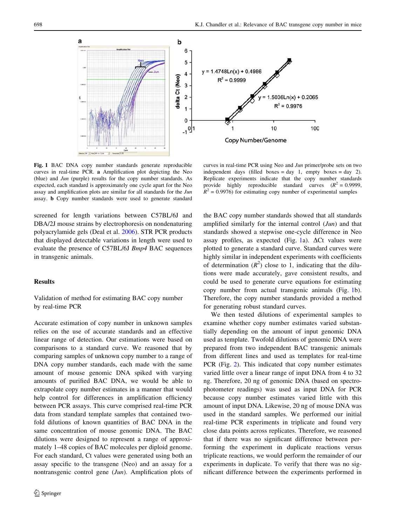

Fig. 1 BAC DNA copy number standards generate reproducible curves in real-time PCR. a Amplification plot depicting the Neo (blue) and Jun (purple) results for the copy number standards. As expected, each standard is approximately one cycle apart for the Neo assay and amplification plots are similar for all standards for the Jun assay. b Copy number standards were used to generate standard

screened for length variations between C57BL/6J and DBA/2J mouse strains by electrophoresis on nondenaturing polyacrylamide gels (Deal et al. [2006](#page-14-0)). STR PCR products that displayed detectable variations in length were used to evaluate the presence of C57BL/6J Bmp4 BAC sequences in transgenic animals.

# **Results**

Validation of method for estimating BAC copy number by real-time PCR

Accurate estimation of copy number in unknown samples relies on the use of accurate standards and an effective linear range of detection. Our estimations were based on comparisons to a standard curve. We reasoned that by comparing samples of unknown copy number to a range of DNA copy number standards, each made with the same amount of mouse genomic DNA spiked with varying amounts of purified BAC DNA, we would be able to extrapolate copy number estimates in a manner that would help control for differences in amplification efficiency between PCR assays. This curve comprised real-time PCR data from standard template samples that contained twofold dilutions of known quantities of BAC DNA in the same concentration of mouse genomic DNA. The BAC dilutions were designed to represent a range of approximately 1–48 copies of BAC molecules per diploid genome. For each standard, Ct values were generated using both an assay specific to the transgene (Neo) and an assay for a nontransgenic control gene (Jun). Amplification plots of

curves in real-time PCR using Neo and Jun primer/probe sets on two independent days (filled boxes = day 1, empty boxes = day 2). Replicate experiments indicate that the copy number standards provide highly reproducible standard curves  $(R^2 = 0.9999,$  $R^{2}$  = 0.9976) for estimating copy number of experimental samples

the BAC copy number standards showed that all standards amplified similarly for the internal control  $(Jun)$  and that standards showed a stepwise one-cycle difference in Neo assay profiles, as expected (Fig. 1a).  $\Delta$ Ct values were plotted to generate a standard curve. Standard curves were highly similar in independent experiments with coefficients of determination  $(R^2)$  close to 1, indicating that the dilutions were made accurately, gave consistent results, and could be used to generate curve equations for estimating copy number from actual transgenic animals (Fig. 1b). Therefore, the copy number standards provided a method for generating robust standard curves.

We then tested dilutions of experimental samples to examine whether copy number estimates varied substantially depending on the amount of input genomic DNA used as template. Twofold dilutions of genomic DNA were prepared from two independent BAC transgenic animals from different lines and used as templates for real-time PCR (Fig. [2\)](#page-6-0). This indicated that copy number estimates varied little over a linear range of input DNA from 4 to 32 ng. Therefore, 20 ng of genomic DNA (based on spectrophotometer readings) was used as input DNA for PCR because copy number estimates varied little with this amount of input DNA. Likewise, 20 ng of mouse DNA was used in the standard samples. We performed our initial real-time PCR experiments in triplicate and found very close data points across replicates. Therefore, we reasoned that if there was no significant difference between performing the experiment in duplicate reactions versus triplicate reactions, we would perform the remainder of our experiments in duplicate. To verify that there was no significant difference between the experiments performed in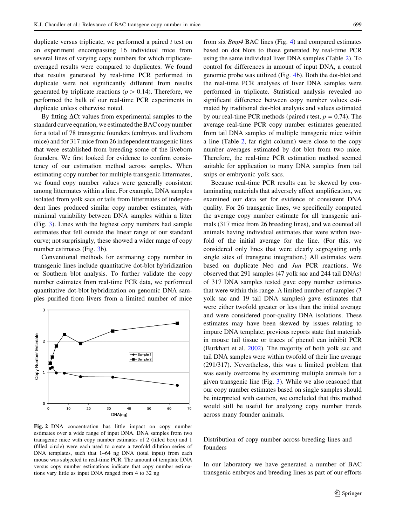<span id="page-6-0"></span>duplicate versus triplicate, we performed a paired  $t$  test on an experiment encompassing 16 individual mice from several lines of varying copy numbers for which triplicateaveraged results were compared to duplicates. We found that results generated by real-time PCR performed in duplicate were not significantly different from results generated by triplicate reactions ( $p > 0.14$ ). Therefore, we performed the bulk of our real-time PCR experiments in duplicate unless otherwise noted.

By fitting  $\Delta$ Ct values from experimental samples to the standard curve equation, we estimated the BAC copy number for a total of 78 transgenic founders (embryos and liveborn mice) and for 317 mice from 26 independent transgenic lines that were established from breeding some of the liveborn founders. We first looked for evidence to confirm consistency of our estimation method across samples. When estimating copy number for multiple transgenic littermates, we found copy number values were generally consistent among littermates within a line. For example, DNA samples isolated from yolk sacs or tails from littermates of independent lines produced similar copy number estimates, with minimal variability between DNA samples within a litter (Fig. [3](#page-7-0)). Lines with the highest copy numbers had sample estimates that fell outside the linear range of our standard curve; not surprisingly, these showed a wider range of copy number estimates (Fig. [3](#page-7-0)b).

Conventional methods for estimating copy number in transgenic lines include quantitative dot-blot hybridization or Southern blot analysis. To further validate the copy number estimates from real-time PCR data, we performed quantitative dot-blot hybridization on genomic DNA samples purified from livers from a limited number of mice



Fig. 2 DNA concentration has little impact on copy number estimates over a wide range of input DNA. DNA samples from two transgenic mice with copy number estimates of 2 (filled box) and 1 (filled circle) were each used to create a twofold dilution series of DNA templates, such that 1–64 ng DNA (total input) from each mouse was subjected to real-time PCR. The amount of template DNA versus copy number estimations indicate that copy number estimations vary little as input DNA ranged from 4 to 32 ng

from six Bmp4 BAC lines (Fig. [4](#page-8-0)) and compared estimates based on dot blots to those generated by real-time PCR using the same individual liver DNA samples (Table [2\)](#page-9-0). To control for differences in amount of input DNA, a control genomic probe was utilized (Fig. [4](#page-8-0)b). Both the dot-blot and the real-time PCR analyses of liver DNA samples were performed in triplicate. Statistical analysis revealed no significant difference between copy number values estimated by traditional dot-blot analysis and values estimated by our real-time PCR methods (paired t test,  $p = 0.74$ ). The average real-time PCR copy number estimates generated from tail DNA samples of multiple transgenic mice within a line (Table [2,](#page-9-0) far right column) were close to the copy number averages estimated by dot blot from two mice. Therefore, the real-time PCR estimation method seemed suitable for application to many DNA samples from tail snips or embryonic yolk sacs.

Because real-time PCR results can be skewed by contaminating materials that adversely affect amplification, we examined our data set for evidence of consistent DNA quality. For 26 transgenic lines, we specifically computed the average copy number estimate for all transgenic animals (317 mice from 26 breeding lines), and we counted all animals having individual estimates that were within twofold of the initial average for the line. (For this, we considered only lines that were clearly segregating only single sites of transgene integration.) All estimates were based on duplicate Neo and Jun PCR reactions. We observed that 291 samples (47 yolk sac and 244 tail DNAs) of 317 DNA samples tested gave copy number estimates that were within this range. A limited number of samples (7 yolk sac and 19 tail DNA samples) gave estimates that were either twofold greater or less than the initial average and were considered poor-quality DNA isolations. These estimates may have been skewed by issues relating to impure DNA template; previous reports state that materials in mouse tail tissue or traces of phenol can inhibit PCR (Burkhart et al. [2002\)](#page-14-0). The majority of both yolk sac and tail DNA samples were within twofold of their line average (291/317). Nevertheless, this was a limited problem that was easily overcome by examining multiple animals for a given transgenic line (Fig. [3\)](#page-7-0). While we also reasoned that our copy number estimates based on single samples should be interpreted with caution, we concluded that this method would still be useful for analyzing copy number trends across many founder animals.

Distribution of copy number across breeding lines and founders

In our laboratory we have generated a number of BAC transgenic embryos and breeding lines as part of our efforts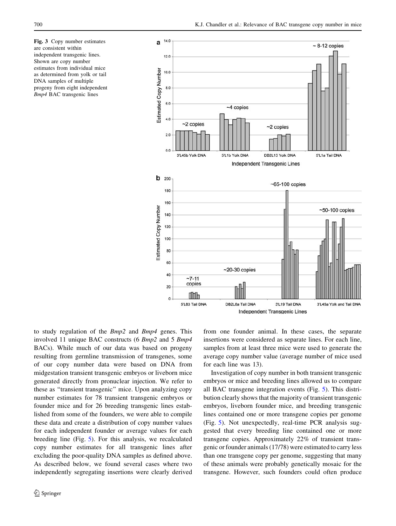<span id="page-7-0"></span>Fig. 3 Copy number estimates are consistent within independent transgenic lines. Shown are copy number estimates from individual mice as determined from yolk or tail DNA samples of multiple progeny from eight independent Bmp4 BAC transgenic lines



to study regulation of the Bmp2 and Bmp4 genes. This involved 11 unique BAC constructs (6 Bmp2 and 5 Bmp4 BACs). While much of our data was based on progeny resulting from germline transmission of transgenes, some of our copy number data were based on DNA from midgestation transient transgenic embryos or liveborn mice generated directly from pronuclear injection. We refer to these as ''transient transgenic'' mice. Upon analyzing copy number estimates for 78 transient transgenic embryos or founder mice and for 26 breeding transgenic lines established from some of the founders, we were able to compile these data and create a distribution of copy number values for each independent founder or average values for each breeding line (Fig. [5\)](#page-9-0). For this analysis, we recalculated copy number estimates for all transgenic lines after excluding the poor-quality DNA samples as defined above. As described below, we found several cases where two independently segregating insertions were clearly derived from one founder animal. In these cases, the separate insertions were considered as separate lines. For each line, samples from at least three mice were used to generate the average copy number value (average number of mice used for each line was 13).

Investigation of copy number in both transient transgenic embryos or mice and breeding lines allowed us to compare all BAC transgene integration events (Fig. [5\)](#page-9-0). This distribution clearly shows that the majority of transient transgenic embryos, liveborn founder mice, and breeding transgenic lines contained one or more transgene copies per genome (Fig. [5\)](#page-9-0). Not unexpectedly, real-time PCR analysis suggested that every breeding line contained one or more transgene copies. Approximately 22% of transient transgenic or founder animals (17/78) were estimated to carry less than one transgene copy per genome, suggesting that many of these animals were probably genetically mosaic for the transgene. However, such founders could often produce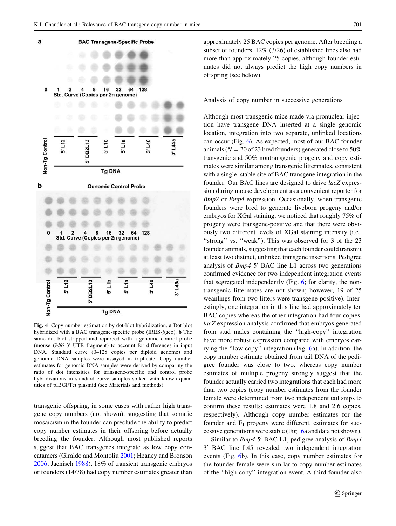<span id="page-8-0"></span>

Fig. 4 Copy number estimation by dot-blot hybridization. a Dot blot hybridized with a BAC transgene-specific probe (IRES- $\beta$ geo). **b** The same dot blot stripped and reprobed with a genomic control probe (mouse  $Gdf6$  3' UTR fragment) to account for differences in input DNA. Standard curve (0–128 copies per diploid genome) and genomic DNA samples were assayed in triplicate. Copy number estimates for genomic DNA samples were derived by comparing the ratio of dot intensities for transgene-specific and control probe hybridizations in standard curve samples spiked with known quantities of pIBGFTet plasmid (see Materials and methods)

transgenic offspring, in some cases with rather high transgene copy numbers (not shown), suggesting that somatic mosaicism in the founder can preclude the ability to predict copy number estimates in their offspring before actually breeding the founder. Although most published reports suggest that BAC transgenes integrate as low copy concatamers (Giraldo and Montoliu [2001;](#page-14-0) Heaney and Bronson [2006;](#page-15-0) Jaenisch [1988](#page-15-0)), 18% of transient transgenic embryos or founders (14/78) had copy number estimates greater than approximately 25 BAC copies per genome. After breeding a subset of founders, 12% (3/26) of established lines also had more than approximately 25 copies, although founder estimates did not always predict the high copy numbers in offspring (see below).

Analysis of copy number in successive generations

Although most transgenic mice made via pronuclear injection have transgene DNA inserted at a single genomic location, integration into two separate, unlinked locations can occur (Fig. [6\)](#page-10-0). As expected, most of our BAC founder animals ( $N = 20$  of 23 bred founders) generated close to 50% transgenic and 50% nontransgenic progeny and copy estimates were similar among transgenic littermates, consistent with a single, stable site of BAC transgene integration in the founder. Our BAC lines are designed to drive lacZ expression during mouse development as a convenient reporter for Bmp2 or Bmp4 expression. Occasionally, when transgenic founders were bred to generate liveborn progeny and/or embryos for XGal staining, we noticed that roughly 75% of progeny were transgene-positive and that there were obviously two different levels of XGal staining intensity (i.e., "strong" vs. "weak"). This was observed for 3 of the 23 founder animals, suggesting that each founder could transmit at least two distinct, unlinked transgene insertions. Pedigree analysis of  $Bmp4$  5' BAC line L1 across two generations confirmed evidence for two independent integration events that segregated independently (Fig. [6](#page-10-0); for clarity, the nontransgenic littermates are not shown; however, 19 of 25 weanlings from two litters were transgene-positive). Interestingly, one integration in this line had approximately ten BAC copies whereas the other integration had four copies. lacZ expression analysis confirmed that embryos generated from stud males containing the ''high-copy'' integration have more robust expression compared with embryos carrying the ''low-copy'' integration (Fig. [6a](#page-10-0)). In addition, the copy number estimate obtained from tail DNA of the pedigree founder was close to two, whereas copy number estimates of multiple progeny strongly suggest that the founder actually carried two integrations that each had more than two copies (copy number estimates from the founder female were determined from two independent tail snips to confirm these results; estimates were 1.8 and 2.6 copies, respectively). Although copy number estimates for the founder and  $F_1$  progeny were different, estimates for successive generations were stable (Fig. [6a](#page-10-0) and data not shown).

Similar to  $Bmp4$  5' BAC L1, pedigree analysis of  $Bmp4$  $3'$  BAC line L45 revealed two independent integration events (Fig. [6](#page-10-0)b). In this case, copy number estimates for the founder female were similar to copy number estimates of the ''high-copy'' integration event. A third founder also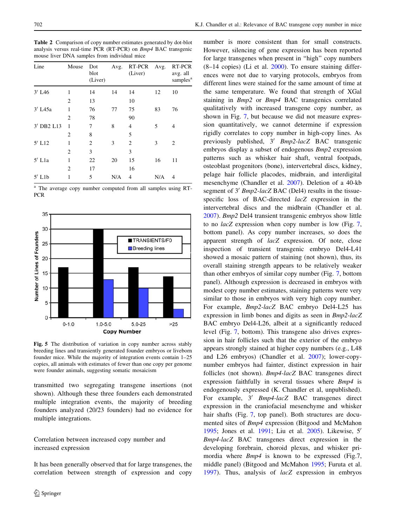<span id="page-9-0"></span>Table 2 Comparison of copy number estimates generated by dot-blot analysis versus real-time PCR (RT-PCR) on Bmp4 BAC transgenic mouse liver DNA samples from individual mice

| Line                  | Mouse          | Dot<br>blot<br>(Liver) | Avg. | RT-PCR<br>(Liver) | Avg. | RT-PCR<br>avg. all<br>samples <sup>a</sup> |
|-----------------------|----------------|------------------------|------|-------------------|------|--------------------------------------------|
| $3'$ L <sub>46</sub>  | 1              | 14                     | 14   | 14                | 12   | 10                                         |
|                       | $\overline{2}$ | 13                     |      | 10                |      |                                            |
| $3'$ L <sub>45a</sub> | 1              | 76                     | 77   | 75                | 83   | 76                                         |
|                       | 2              | 78                     |      | 90                |      |                                            |
| 3' DB2 L13            | 1              | 7                      | 8    | 4                 | 5    | 4                                          |
|                       | 2              | 8                      |      | 5                 |      |                                            |
| $5'$ L12              | 1              | 2                      | 3    | $\overline{2}$    | 3    | 2                                          |
|                       | $\overline{2}$ | 3                      |      | 3                 |      |                                            |
| $5'$ L <sub>1</sub> a | 1              | 22                     | 20   | 15                | 16   | 11                                         |
|                       | 2              | 17                     |      | 16                |      |                                            |
| $5'$ L <sub>1</sub> b | 1              | 5                      | N/A  | 4                 | N/A  | 4                                          |

<sup>a</sup> The average copy number computed from all samples using RT-PCR



Fig. 5 The distribution of variation in copy number across stably breeding lines and transiently generated founder embryos or liveborn founder mice. While the majority of integration events contain 1–25 copies, all animals with estimates of fewer than one copy per genome were founder animals, suggesting somatic mosaicism

transmitted two segregating transgene insertions (not shown). Although these three founders each demonstrated multiple integration events, the majority of breeding founders analyzed (20/23 founders) had no evidence for multiple integrations.

Correlation between increased copy number and increased expression

It has been generally observed that for large transgenes, the correlation between strength of expression and copy

number is more consistent than for small constructs. However, silencing of gene expression has been reported for large transgenes when present in ''high'' copy numbers  $(8-14 \text{ copies})$  (Li et al.  $2000$ ). To ensure staining differences were not due to varying protocols, embryos from different lines were stained for the same amount of time at the same temperature. We found that strength of XGal staining in Bmp2 or Bmp4 BAC transgenics correlated qualitatively with increased transgene copy number, as shown in Fig. [7](#page-11-0), but because we did not measure expression quantitatively, we cannot determine if expression rigidly correlates to copy number in high-copy lines. As previously published,  $3'$  Bmp2-lacZ BAC transgenic embryos display a subset of endogenous Bmp2 expression patterns such as whisker hair shaft, ventral footpads, osteoblast progenitors (bone), intervertebral discs, kidney, pelage hair follicle placodes, midbrain, and interdigital mesenchyme (Chandler et al. [2007\)](#page-14-0). Deletion of a 40-kb segment of  $3'$  Bmp2-lacZ BAC (Del4) results in the tissuespecific loss of BAC-directed lacZ expression in the intervertebral discs and the midbrain (Chandler et al. [2007](#page-14-0)). Bmp2 Del4 transient transgenic embryos show little to no lacZ expression when copy number is low (Fig. [7,](#page-11-0) bottom panel). As copy number increases, so does the apparent strength of lacZ expression. Of note, close inspection of transient transgenic embryo Del4-L41 showed a mosaic pattern of staining (not shown), thus, its overall staining strength appears to be relatively weaker than other embryos of similar copy number (Fig. [7,](#page-11-0) bottom panel). Although expression is decreased in embryos with modest copy number estimates, staining patterns were very similar to those in embryos with very high copy number. For example, Bmp2-lacZ BAC embryo Del4-L25 has expression in limb bones and digits as seen in Bmp2-lacZ BAC embryo Del4-L26, albeit at a significantly reduced level (Fig. [7](#page-11-0), bottom). This transgene also drives expression in hair follicles such that the exterior of the embryo appears strongly stained at higher copy numbers (e.g., L48 and L26 embryos) (Chandler et al. [2007\)](#page-14-0); lower-copynumber embryos had fainter, distinct expression in hair follicles (not shown). Bmp4-lacZ BAC transgenes direct expression faithfully in several tissues where Bmp4 is endogenously expressed (K. Chandler et al, unpublished). For example,  $3'$  Bmp4-lacZ BAC transgenes direct expression in the craniofacial mesenchyme and whisker hair shafts (Fig. [7](#page-11-0), top panel). Both structures are documented sites of Bmp4 expression (Bitgood and McMahon [1995](#page-14-0); Jones et al.  $1991$ ; Liu et al.  $2005$ ). Likewise,  $5'$ Bmp4-lacZ BAC transgenes direct expression in the developing forebrain, choroid plexus, and whisker primordia where Bmp4 is known to be expressed (Fig.7, middle panel) (Bitgood and McMahon [1995;](#page-14-0) Furuta et al. [1997](#page-14-0)). Thus, analysis of lacZ expression in embryos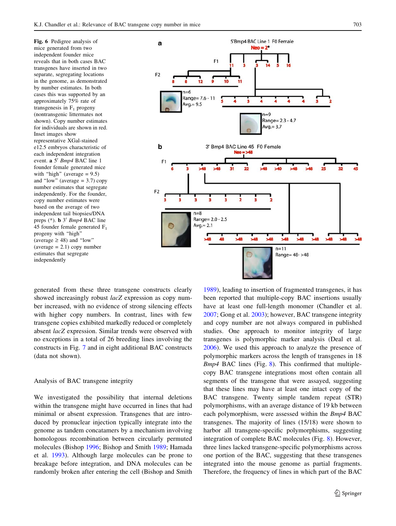<span id="page-10-0"></span>Fig. 6 Pedigree analysis of mice generated from two independent founder mice reveals that in both cases BAC transgenes have inserted in two separate, segregating locations in the genome, as demonstrated by number estimates. In both cases this was supported by an approximately 75% rate of transgenesis in  $F_1$  progeny (nontransgenic littermates not shown). Copy number estimates for individuals are shown in red. Inset images show representative XGal-stained e12.5 embryos characteristic of each independent integration event. a 5' Bmp4 BAC line 1 founder female generated mice with "high" (average  $= 9.5$ ) and "low" (average  $= 3.7$ ) copy number estimates that segregate independently. For the founder, copy number estimates were based on the average of two independent tail biopsies/DNA preps  $(*)$ . **b** 3<sup> $\prime$ </sup> Bmp4 BAC line 45 founder female generated  $F_1$ progeny with "high" (average  $\geq$  48) and "low"  $(average = 2.1) copy number$ estimates that segregate independently



generated from these three transgene constructs clearly showed increasingly robust *lacZ* expression as copy number increased, with no evidence of strong silencing effects with higher copy numbers. In contrast, lines with few transgene copies exhibited markedly reduced or completely absent lacZ expression. Similar trends were observed with no exceptions in a total of 26 breeding lines involving the constructs in Fig. [7](#page-11-0) and in eight additional BAC constructs (data not shown).

## Analysis of BAC transgene integrity

We investigated the possibility that internal deletions within the transgene might have occurred in lines that had minimal or absent expression. Transgenes that are introduced by pronuclear injection typically integrate into the genome as tandem concatamers by a mechanism involving homologous recombination between circularly permuted molecules (Bishop [1996](#page-14-0); Bishop and Smith [1989](#page-14-0); Hamada et al. [1993\)](#page-14-0). Although large molecules can be prone to breakage before integration, and DNA molecules can be randomly broken after entering the cell (Bishop and Smith

[1989](#page-14-0)), leading to insertion of fragmented transgenes, it has been reported that multiple-copy BAC insertions usually have at least one full-length monomer (Chandler et al. [2007](#page-14-0); Gong et al. [2003](#page-14-0)); however, BAC transgene integrity and copy number are not always compared in published studies. One approach to monitor integrity of large transgenes is polymorphic marker analysis (Deal et al. [2006](#page-14-0)). We used this approach to analyze the presence of polymorphic markers across the length of transgenes in 18  $Bmp4$  BAC lines (Fig. [8\)](#page-12-0). This confirmed that multiplecopy BAC transgene integrations most often contain all segments of the transgene that were assayed, suggesting that these lines may have at least one intact copy of the BAC transgene. Twenty simple tandem repeat (STR) polymorphisms, with an average distance of 19 kb between each polymorphism, were assessed within the Bmp4 BAC transgenes. The majority of lines (15/18) were shown to harbor all transgene-specific polymorphisms, suggesting integration of complete BAC molecules (Fig. [8\)](#page-12-0). However, three lines lacked transgene-specific polymorphisms across one portion of the BAC, suggesting that these transgenes integrated into the mouse genome as partial fragments. Therefore, the frequency of lines in which part of the BAC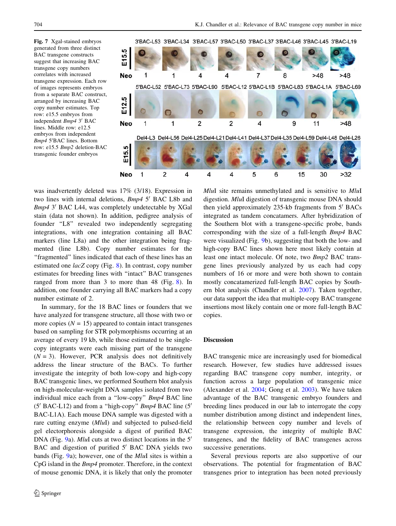<span id="page-11-0"></span>Fig. 7 Xgal-stained embryos generated from three distinct BAC transgene constructs suggest that increasing BAC transgene copy numbers correlates with increased transgene expression. Each row of images represents embryos from a separate BAC construct, arranged by increasing BAC copy number estimates. Top row: e15.5 embryos from independent  $Bmp4$  3' BAC lines. Middle row: e12.5 embryos from independent Bmp4 5'BAC lines. Bottom row: e15.5 Bmp2 deletion-BAC transgenic founder embryos



was inadvertently deleted was 17% (3/18). Expression in two lines with internal deletions,  $Bmp4 5'$  BAC L8b and Bmp4 3' BAC L44, was completely undetectable by XGal stain (data not shown). In addition, pedigree analysis of founder ''L8'' revealed two independently segregating integrations, with one integration containing all BAC markers (line L8a) and the other integration being fragmented (line L8b). Copy number estimates for the "fragmented" lines indicated that each of these lines has an estimated one lacZ copy (Fig. [8\)](#page-12-0). In contrast, copy number estimates for breeding lines with ''intact'' BAC transgenes ranged from more than 3 to more than 48 (Fig. [8\)](#page-12-0). In addition, one founder carrying all BAC markers had a copy number estimate of 2.

In summary, for the 18 BAC lines or founders that we have analyzed for transgene structure, all those with two or more copies  $(N = 15)$  appeared to contain intact transgenes based on sampling for STR polymorphisms occurring at an average of every 19 kb, while those estimated to be singlecopy integrants were each missing part of the transgene  $(N = 3)$ . However, PCR analysis does not definitively address the linear structure of the BACs. To further investigate the integrity of both low-copy and high-copy BAC transgenic lines, we performed Southern blot analysis on high-molecular-weight DNA samples isolated from two individual mice each from a ''low-copy'' Bmp4 BAC line  $(5'$  BAC-L12) and from a "high-copy" *Bmp4* BAC line  $(5'$ BAC-L1A). Each mouse DNA sample was digested with a rare cutting enzyme (MluI) and subjected to pulsed-field gel electorphoresis alongside a digest of purified BAC DNA (Fig. [9a](#page-13-0)). MluI cuts at two distinct locations in the  $5<sup>′</sup>$ BAC and digestion of purified 5' BAC DNA yields two bands (Fig. [9a](#page-13-0)); however, one of the MluI sites is within a CpG island in the Bmp4 promoter. Therefore, in the context of mouse genomic DNA, it is likely that only the promoter MluI site remains unmethylated and is sensitive to MluI digestion. MluI digestion of transgenic mouse DNA should then yield approximately  $235$ -kb fragments from  $5'$  BACs integrated as tandem concatamers. After hybridization of the Southern blot with a transgene-specific probe, bands corresponding with the size of a full-length Bmp4 BAC were visualized (Fig. [9](#page-13-0)b), suggesting that both the low- and high-copy BAC lines shown here most likely contain at least one intact molecule. Of note, two Bmp2 BAC transgene lines previously analyzed by us each had copy numbers of 16 or more and were both shown to contain mostly concatamerized full-length BAC copies by Southern blot analysis (Chandler et al. [2007](#page-14-0)). Taken together, our data support the idea that multiple-copy BAC transgene insertions most likely contain one or more full-length BAC copies.

### Discussion

BAC transgenic mice are increasingly used for biomedical research. However, few studies have addressed issues regarding BAC transgene copy number, integrity, or function across a large population of transgenic mice (Alexander et al. [2004](#page-14-0); Gong et al. [2003\)](#page-14-0). We have taken advantage of the BAC transgenic embryo founders and breeding lines produced in our lab to interrogate the copy number distribution among distinct and independent lines, the relationship between copy number and levels of transgene expression, the integrity of multiple BAC transgenes, and the fidelity of BAC transgenes across successive generations.

Several previous reports are also supportive of our observations. The potential for fragmentation of BAC transgenes prior to integration has been noted previously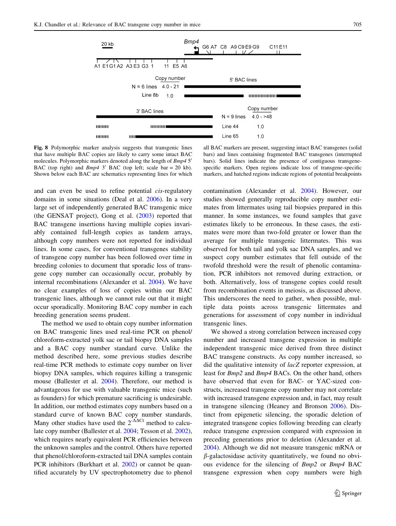<span id="page-12-0"></span>

Fig. 8 Polymorphic marker analysis suggests that transgenic lines that have multiple BAC copies are likely to carry some intact BAC molecules. Polymorphic markers denoted along the length of  $Bmp4.5$ <sup>t</sup> BAC (top right) and  $Bmp4$  3' BAC (top left; scale bar = 20 kb). Shown below each BAC are schematics representing lines for which

all BAC markers are present, suggesting intact BAC transgenes (solid bars) and lines containing fragmented BAC transgenes (interrupted bars). Solid lines indicate the presence of contiguous transgenespecific markers. Open regions indicate loss of transgene-specific markers, and hatched regions indicate regions of potential breakpoints

and can even be used to refine potential cis-regulatory domains in some situations (Deal et al. [2006](#page-14-0)). In a very large set of independently generated BAC transgenic mice (the GENSAT project), Gong et al. ([2003\)](#page-14-0) reported that BAC transgene insertions having multiple copies invariably contained full-length copies as tandem arrays, although copy numbers were not reported for individual lines. In some cases, for conventional transgenes stability of transgene copy number has been followed over time in breeding colonies to document that sporadic loss of transgene copy number can occasionally occur, probably by internal recombinations (Alexander et al. [2004](#page-14-0)). We have no clear examples of loss of copies within our BAC transgenic lines, although we cannot rule out that it might occur sporadically. Monitoring BAC copy number in each breeding generation seems prudent.

The method we used to obtain copy number information on BAC transgenic lines used real-time PCR on phenol/ chloroform-extracted yolk sac or tail biopsy DNA samples and a BAC copy number standard curve. Unlike the method described here, some previous studies describe real-time PCR methods to estimate copy number on liver biopsy DNA samples, which requires killing a transgenic mouse (Ballester et al. [2004](#page-14-0)). Therefore, our method is advantageous for use with valuable transgenic mice (such as founders) for which premature sacrificing is undesirable. In addition, our method estimates copy numbers based on a standard curve of known BAC copy number standards. Many other studies have used the  $2^{-\Delta\Delta Ct}$  method to calculate copy number (Ballester et al. [2004;](#page-14-0) Tesson et al. [2002](#page-15-0)), which requires nearly equivalent PCR efficiencies between the unknown samples and the control. Others have reported that phenol/chloroform-extracted tail DNA samples contain PCR inhibitors (Burkhart et al. [2002](#page-14-0)) or cannot be quantified accurately by UV spectrophotometry due to phenol contamination (Alexander et al. [2004\)](#page-14-0). However, our studies showed generally reproducible copy number estimates from littermates using tail biopsies prepared in this manner. In some instances, we found samples that gave estimates likely to be erroneous. In these cases, the estimates were more than two-fold greater or lower than the average for multiple transgenic littermates. This was observed for both tail and yolk sac DNA samples, and we suspect copy number estimates that fell outside of the twofold threshold were the result of phenolic contamination, PCR inhibitors not removed during extraction, or both. Alternatively, loss of transgene copies could result from recombination events in meiosis, as discussed above. This underscores the need to gather, when possible, multiple data points across transgenic littermates and generations for assessment of copy number in individual transgenic lines.

We showed a strong correlation between increased copy number and increased transgene expression in multiple independent transgenic mice derived from three distinct BAC transgene constructs. As copy number increased, so did the qualitative intensity of lacZ reporter expression, at least for Bmp2 and Bmp4 BACs. On the other hand, others have observed that even for BAC- or YAC-sized constructs, increased transgene copy number may not correlate with increased transgene expression and, in fact, may result in transgene silencing (Heaney and Bronson [2006\)](#page-15-0). Distinct from epigenetic silencing, the sporadic deletion of integrated transgene copies following breeding can clearly reduce transgene expression compared with expression in preceding generations prior to deletion (Alexander et al. [2004](#page-14-0)). Although we did not measure transgenic mRNA or  $\beta$ -galactosidase activity quantitatively, we found no obvious evidence for the silencing of Bmp2 or Bmp4 BAC transgene expression when copy numbers were high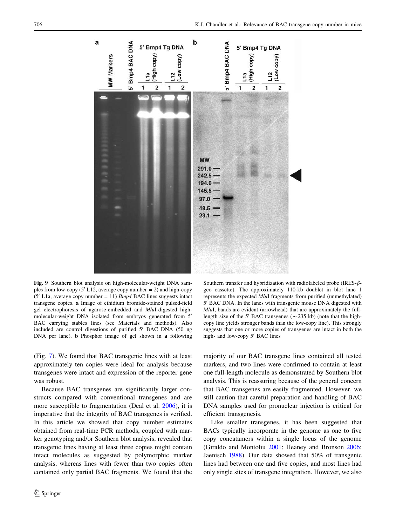<span id="page-13-0"></span>

Fig. 9 Southern blot analysis on high-molecular-weight DNA samples from low-copy (5' L12, average copy number = 2) and high-copy  $(5'$  L1a, average copy number = 11) *Bmp4* BAC lines suggests intact transgene copies. a Image of ethidium bromide-stained pulsed-field gel electrophoresis of agarose-embedded and MluI-digested highmolecular-weight DNA isolated from embryos generated from  $5'$ BAC carrying stables lines (see Materials and methods). Also included are control digestions of purified 5' BAC DNA (50 ng DNA per lane). b Phosphor image of gel shown in a following

(Fig. [7](#page-11-0)). We found that BAC transgenic lines with at least approximately ten copies were ideal for analysis because transgenes were intact and expression of the reporter gene was robust.

Because BAC transgenes are significantly larger constructs compared with conventional transgenes and are more susceptible to fragmentation (Deal et al. [2006](#page-14-0)), it is imperative that the integrity of BAC transgenes is verified. In this article we showed that copy number estimates obtained from real-time PCR methods, coupled with marker genotyping and/or Southern blot analysis, revealed that transgenic lines having at least three copies might contain intact molecules as suggested by polymorphic marker analysis, whereas lines with fewer than two copies often contained only partial BAC fragments. We found that the

Southern transfer and hybridization with radiolabeled probe (IRES- $\beta$ geo cassette). The approximately 110-kb doublet in blot lane 1 represents the expected MluI fragments from purified (unmethylated) 5<sup>'</sup> BAC DNA. In the lanes with transgenic mouse DNA digested with MluI, bands are evident (arrowhead) that are approximately the fulllength size of the 5<sup> $\prime$ </sup> BAC transgenes ( $\sim$ 235 kb) (note that the highcopy line yields stronger bands than the low-copy line). This strongly suggests that one or more copies of transgenes are intact in both the high- and low-copy 5' BAC lines

majority of our BAC transgene lines contained all tested markers, and two lines were confirmed to contain at least one full-length molecule as demonstrated by Southern blot analysis. This is reassuring because of the general concern that BAC transgenes are easily fragmented. However, we still caution that careful preparation and handling of BAC DNA samples used for pronuclear injection is critical for efficient transgenesis.

Like smaller transgenes, it has been suggested that BACs typically incorporate in the genome as one to five copy concatamers within a single locus of the genome (Giraldo and Montoliu [2001;](#page-14-0) Heaney and Bronson [2006](#page-15-0); Jaenisch [1988](#page-15-0)). Our data showed that 50% of transgenic lines had between one and five copies, and most lines had only single sites of transgene integration. However, we also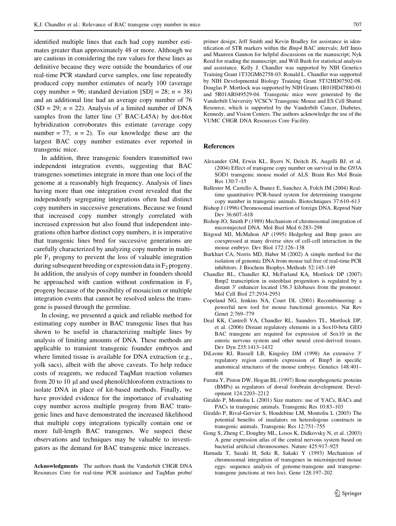<span id="page-14-0"></span>identified multiple lines that each had copy number estimates greater than approximately 48 or more. Although we are cautious in considering the raw values for these lines as definitive because they were outside the boundaries of our real-time PCR standard curve samples, one line repeatedly produced copy number estimates of nearly 100 (average copy number = 96; standard deviation  $[SD] = 28$ ;  $n = 38$ ) and an additional line had an average copy number of 76  $(SD = 29; n = 22)$ . Analysis of a limited number of DNA samples from the latter line  $(3'$  BAC-L45A) by dot-blot hybridization corroborates this estimate (average copy number = 77;  $n = 2$ ). To our knowledge these are the largest BAC copy number estimates ever reported in transgenic mice.

In addition, three transgenic founders transmitted two independent integration events, suggesting that BAC transgenes sometimes integrate in more than one loci of the genome at a reasonably high frequency. Analysis of lines having more than one integration event revealed that the independently segregating integrations often had distinct copy numbers in successive generations. Because we found that increased copy number strongly correlated with increased expression but also found that independent integrations often harbor distinct copy numbers, it is imperative that transgenic lines bred for successive generations are carefully characterized by analyzing copy number in multiple  $F_1$  progeny to prevent the loss of valuable integration during subsequent breeding or expression data in  $F<sub>2</sub>$  progeny. In addition, the analysis of copy number in founders should be approached with caution without confirmation in  $F_1$ progeny because of the possibility of mosaicism or multiple integration events that cannot be resolved unless the transgene is passed through the germline.

In closing, we presented a quick and reliable method for estimating copy number in BAC transgenic lines that has shown to be useful in characterizing multiple lines by analysis of limiting amounts of DNA. These methods are applicable to transient transgenic founder embryos and where limited tissue is available for DNA extraction (e.g., yolk sacs), albeit with the above caveats. To help reduce costs of reagents, we reduced TaqMan reaction volumes from 20 to 10 µl and used phenol/chloroform extractions to isolate DNA in place of kit-based methods. Finally, we have provided evidence for the importance of evaluating copy number across multiple progeny from BAC transgenic lines and have demonstrated the increased likelihood that multiple copy integrations typically contain one or more full-length BAC transgenes. We suspect these observations and techniques may be valuable to investigators as the demand for BAC transgenic mice increases.

Acknowledgments The authors thank the Vanderbilt CHGR DNA Resources Core for real-time PCR assistance and TaqMan probe/ primer design; Jeff Smith and Kevin Bradley for assistance in identification of STR markers within the Bmp4 BAC intervals; Jeff Innis and Maureen Gannon for helpful discussions on the manuscript; Nyk Reed for reading the manuscript; and Will Bush for statistical analysis and assistance. Kelly J. Chandler was supported by NIH Genetics Training Grant 1T32GM62758-03. Ronald L. Chandler was supported by NIH Developmental Biology Training Grant 5T32HD07502-08. Douglas P. Mortlock was supported by NIH Grants 1R01HD47880-01 and 5R01AR049529-04. Transgenic mice were generated by the Vanderbilt University VCSCV Transgenic Mouse and ES Cell Shared Resource, which is supported by the Vanderbilt Cancer, Diabetes, Kennedy, and Vision Centers. The authors acknowledge the use of the VUMC CHGR DNA Resources Core Facility.

### References

- Alexander GM, Erwin KL, Byers N, Deitch JS, Augelli BJ, et al. (2004) Effect of transgene copy number on survival in the G93A SOD1 transgenic mouse model of ALS. Brain Res Mol Brain Res 130:7–15
- Ballester M, Castello A, Ibanez E, Sanchez A, Folch JM (2004) Realtime quantitative PCR-based system for determining transgene copy number in transgenic animals. Biotechniques 37:610–613
- Bishop J (1996) Chromosomal insertion of foreign DNA. Reprod Nutr Dev 36:607–618
- Bishop JO, Smith P (1989) Mechanism of chromosomal integration of microinjected DNA. Mol Biol Med 6:283–298
- Bitgood MJ, McMahon AP (1995) Hedgehog and Bmp genes are coexpressed at many diverse sites of cell-cell interaction in the mouse embryo. Dev Biol 172:126–138
- Burkhart CA, Norris MD, Haber M (2002) A simple method for the isolation of genomic DNA from mouse tail free of real-time PCR inhibitors. J Biochem Biophys Methods 52:145–149
- Chandler RL, Chandler KJ, McFarland KA, Mortlock DP (2007) Bmp2 transcription in osteoblast progenitors is regulated by a distant  $3'$  enhancer located 156.3 kilobases from the promoter. Mol Cell Biol 27:2934-2951
- Copeland NG, Jenkins NA, Court DL (2001) Recombineering: a powerful new tool for mouse functional genomics. Nat Rev Genet 2:769–779
- Deal KK, Cantrell VA, Chandler RL, Saunders TL, Mortlock DP, et al. (2006) Distant regulatory elements in a Sox10-beta GEO BAC transgene are required for expression of Sox10 in the enteric nervous system and other neural crest-derived tissues. Dev Dyn 235:1413–1432
- DiLeone RJ, Russell LB, Kingsley DM (1998) An extensive 3' regulatory region controls expression of Bmp5 in specific anatomical structures of the mouse embryo. Genetics 148:401– 408
- Furuta Y, Piston DW, Hogan BL (1997) Bone morphogenetic proteins (BMPs) as regulators of dorsal forebrain development. Development 124:2203–2212
- Giraldo P, Montoliu L (2001) Size matters: use of YACs, BACs and PACs in transgenic animals. Transgenic Res 10:83–103
- Giraldo P, Rival-Gervier S, Houdebine LM, Montoliu L (2003) The potential benefits of insulators on heterologous constructs in transgenic animals. Transgenic Res 12:751–755
- Gong S, Zheng C, Doughty ML, Losos K, Didkovsky N, et al. (2003) A gene expression atlas of the central nervous system based on bacterial artificial chromosomes. Nature 425:917–925
- Hamada T, Sasaki H, Seki R, Sakaki Y (1993) Mechanism of chromosomal integration of transgenes in microinjected mouse eggs: sequence analysis of genome-transgene and transgenetransgene junctions at two loci. Gene 128:197–202